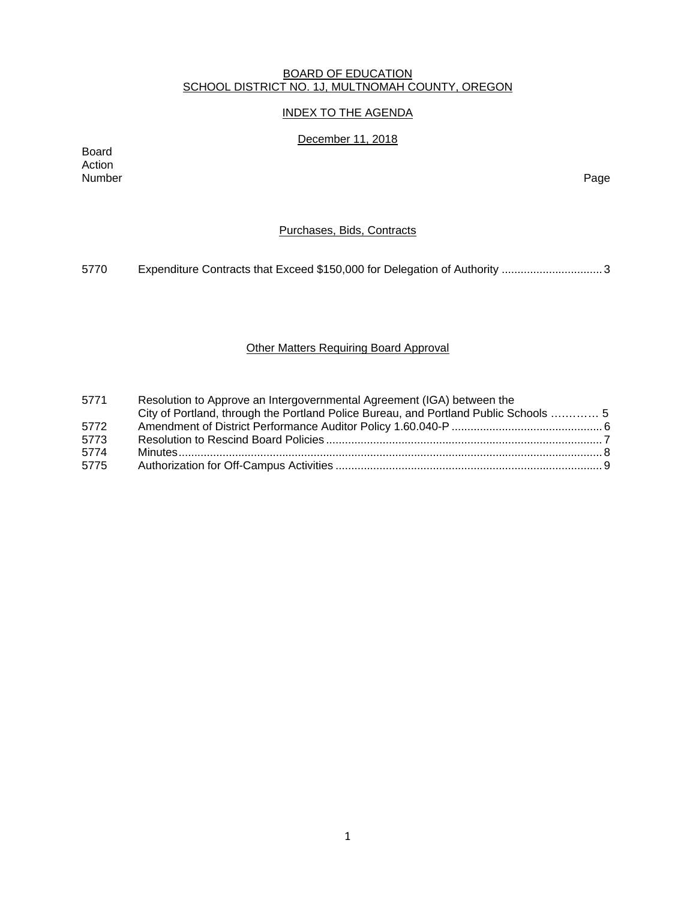### BOARD OF EDUCATION SCHOOL DISTRICT NO. 1J, MULTNOMAH COUNTY, OREGON

# INDEX TO THE AGENDA

# December 11, 2018

Board Action Number Page

# Purchases, Bids, Contracts

5770 Expenditure Contracts that Exceed \$150,000 for Delegation of Authority ..................................

# Other Matters Requiring Board Approval

| 5771 | Resolution to Approve an Intergovernmental Agreement (IGA) between the               |  |
|------|--------------------------------------------------------------------------------------|--|
|      | City of Portland, through the Portland Police Bureau, and Portland Public Schools  5 |  |
| 5772 |                                                                                      |  |
| 5773 |                                                                                      |  |
| 5774 |                                                                                      |  |
| 5775 |                                                                                      |  |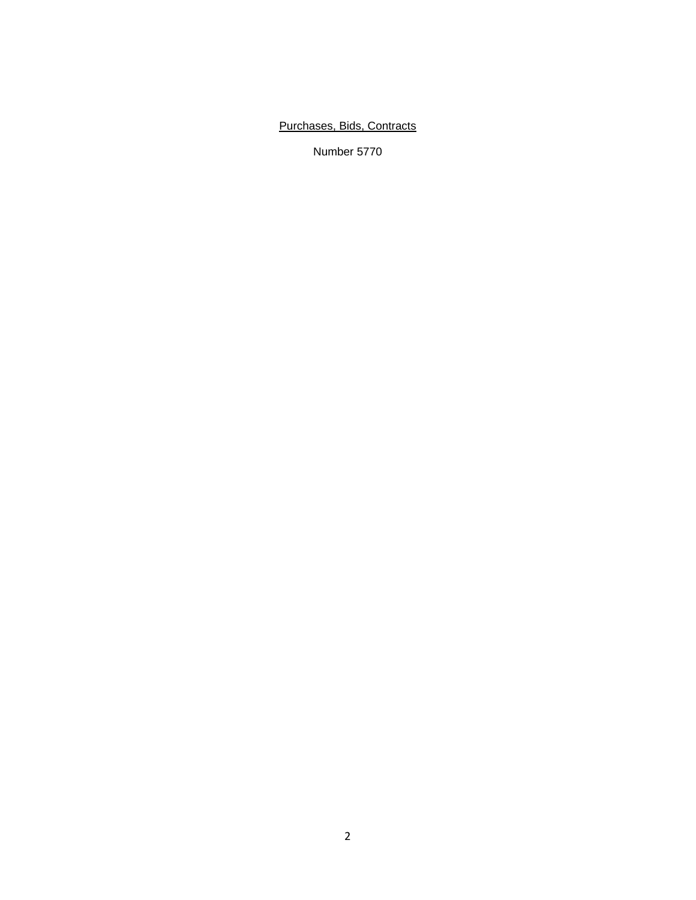# Purchases, Bids, Contracts

Number 5770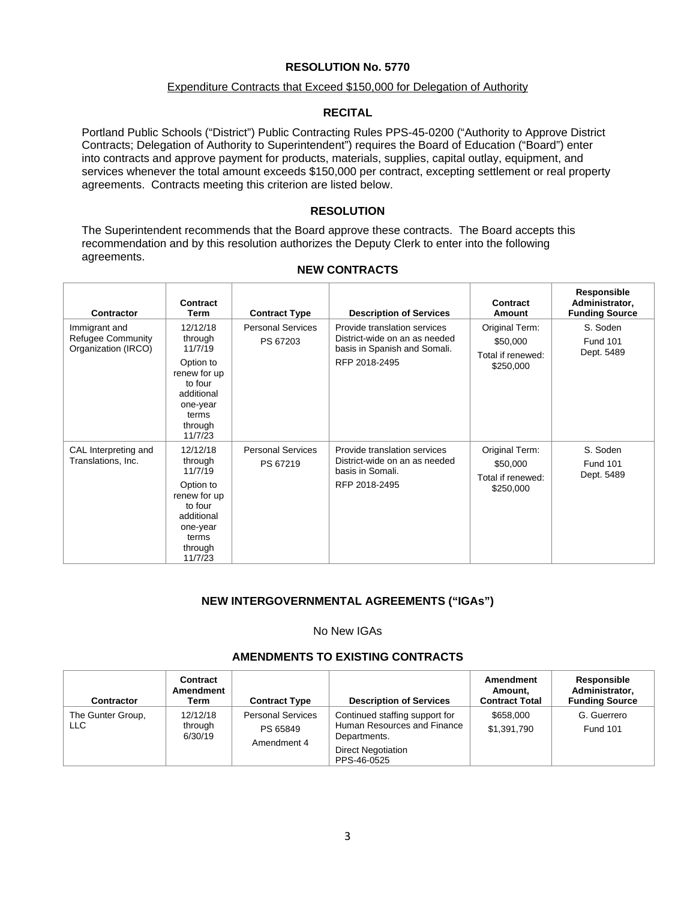#### Expenditure Contracts that Exceed \$150,000 for Delegation of Authority

### **RECITAL**

Portland Public Schools ("District") Public Contracting Rules PPS-45-0200 ("Authority to Approve District Contracts; Delegation of Authority to Superintendent") requires the Board of Education ("Board") enter into contracts and approve payment for products, materials, supplies, capital outlay, equipment, and services whenever the total amount exceeds \$150,000 per contract, excepting settlement or real property agreements. Contracts meeting this criterion are listed below.

### **RESOLUTION**

The Superintendent recommends that the Board approve these contracts. The Board accepts this recommendation and by this resolution authorizes the Deputy Clerk to enter into the following agreements.

| Contractor                                                       | Contract<br>Term                                                                                                                | <b>Contract Type</b>                 | <b>Description of Services</b>                                                                                 | Contract<br>Amount                                           | Responsible<br>Administrator,<br><b>Funding Source</b> |
|------------------------------------------------------------------|---------------------------------------------------------------------------------------------------------------------------------|--------------------------------------|----------------------------------------------------------------------------------------------------------------|--------------------------------------------------------------|--------------------------------------------------------|
| Immigrant and<br><b>Refugee Community</b><br>Organization (IRCO) | 12/12/18<br>through<br>11/7/19<br>Option to<br>renew for up<br>to four<br>additional<br>one-year<br>terms<br>through<br>11/7/23 | <b>Personal Services</b><br>PS 67203 | Provide translation services<br>District-wide on an as needed<br>basis in Spanish and Somali.<br>RFP 2018-2495 | Original Term:<br>\$50,000<br>Total if renewed:<br>\$250,000 | S. Soden<br><b>Fund 101</b><br>Dept. 5489              |
| CAL Interpreting and<br>Translations, Inc.                       | 12/12/18<br>through<br>11/7/19<br>Option to<br>renew for up<br>to four<br>additional<br>one-year<br>terms<br>through<br>11/7/23 | <b>Personal Services</b><br>PS 67219 | Provide translation services<br>District-wide on an as needed<br>basis in Somali.<br>RFP 2018-2495             | Original Term:<br>\$50,000<br>Total if renewed:<br>\$250,000 | S. Soden<br><b>Fund 101</b><br>Dept. 5489              |

### **NEW CONTRACTS**

# **NEW INTERGOVERNMENTAL AGREEMENTS ("IGAs")**

### No New IGAs

# **AMENDMENTS TO EXISTING CONTRACTS**

| Contractor               | Contract<br>Amendment<br>Term  | <b>Contract Type</b>                                | <b>Description of Services</b>                                                                                            | Amendment<br>Amount.<br><b>Contract Total</b> | Responsible<br>Administrator.<br><b>Funding Source</b> |
|--------------------------|--------------------------------|-----------------------------------------------------|---------------------------------------------------------------------------------------------------------------------------|-----------------------------------------------|--------------------------------------------------------|
| The Gunter Group,<br>LLC | 12/12/18<br>through<br>6/30/19 | <b>Personal Services</b><br>PS 65849<br>Amendment 4 | Continued staffing support for<br>Human Resources and Finance<br>Departments.<br><b>Direct Negotiation</b><br>PPS-46-0525 | \$658,000<br>\$1,391,790                      | G. Guerrero<br><b>Fund 101</b>                         |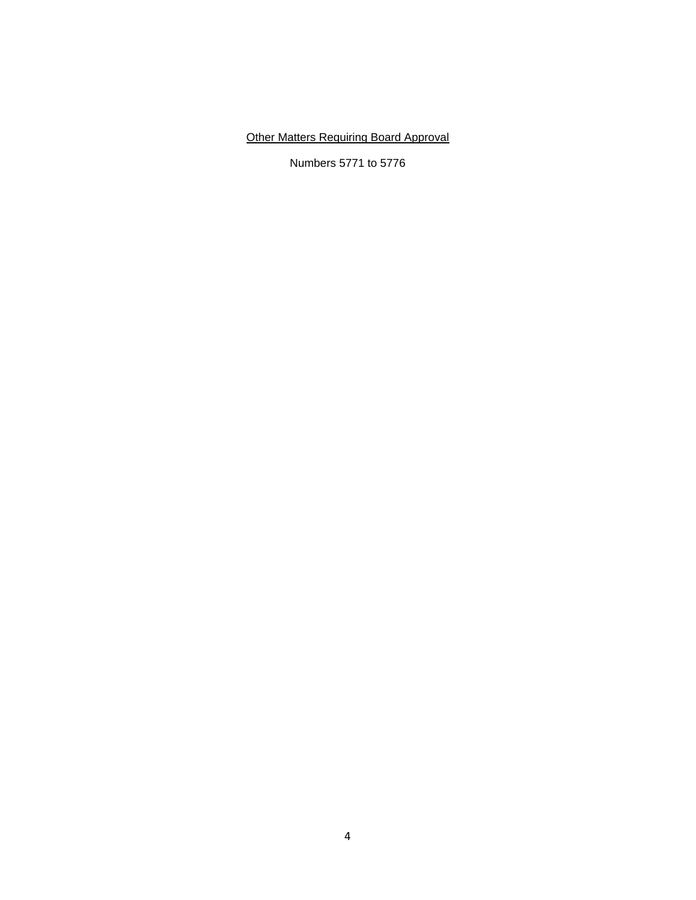# Other Matters Requiring Board Approval

Numbers 5771 to 5776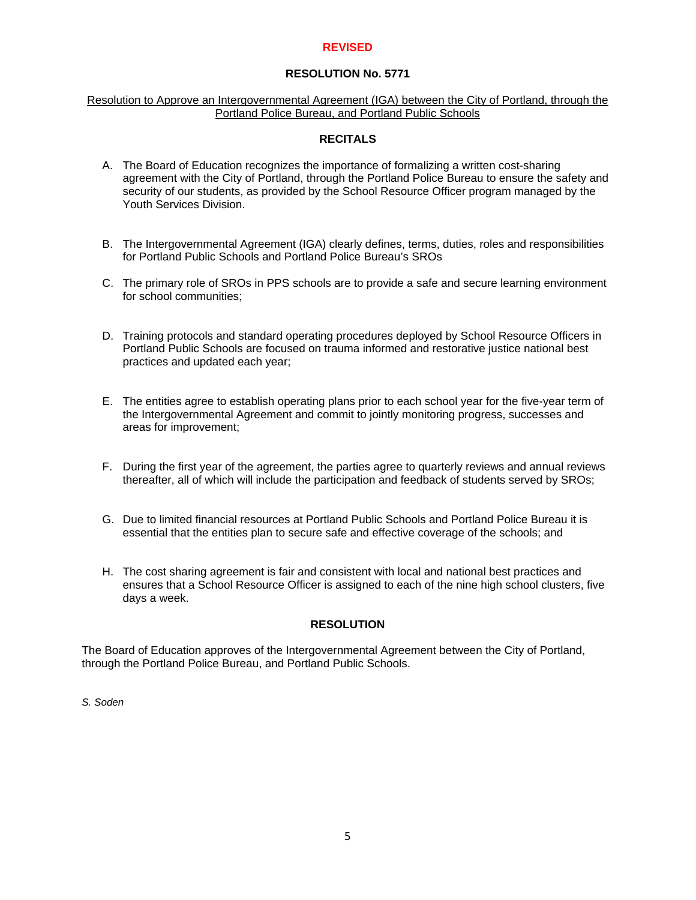### **REVISED**

# **RESOLUTION No. 5771**

### Resolution to Approve an Intergovernmental Agreement (IGA) between the City of Portland, through the Portland Police Bureau, and Portland Public Schools

# **RECITALS**

- A. The Board of Education recognizes the importance of formalizing a written cost-sharing agreement with the City of Portland, through the Portland Police Bureau to ensure the safety and security of our students, as provided by the School Resource Officer program managed by the Youth Services Division.
- B. The Intergovernmental Agreement (IGA) clearly defines, terms, duties, roles and responsibilities for Portland Public Schools and Portland Police Bureau's SROs
- C. The primary role of SROs in PPS schools are to provide a safe and secure learning environment for school communities;
- D. Training protocols and standard operating procedures deployed by School Resource Officers in Portland Public Schools are focused on trauma informed and restorative justice national best practices and updated each year;
- E. The entities agree to establish operating plans prior to each school year for the five-year term of the Intergovernmental Agreement and commit to jointly monitoring progress, successes and areas for improvement;
- F. During the first year of the agreement, the parties agree to quarterly reviews and annual reviews thereafter, all of which will include the participation and feedback of students served by SROs;
- G. Due to limited financial resources at Portland Public Schools and Portland Police Bureau it is essential that the entities plan to secure safe and effective coverage of the schools; and
- H. The cost sharing agreement is fair and consistent with local and national best practices and ensures that a School Resource Officer is assigned to each of the nine high school clusters, five days a week.

# **RESOLUTION**

The Board of Education approves of the Intergovernmental Agreement between the City of Portland, through the Portland Police Bureau, and Portland Public Schools.

*S. Soden*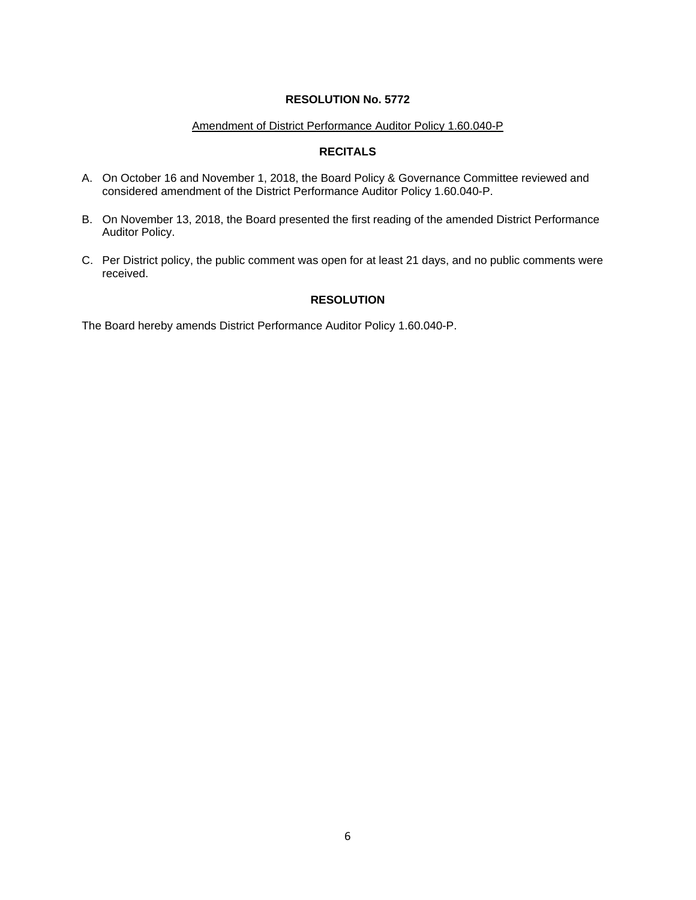### Amendment of District Performance Auditor Policy 1.60.040-P

# **RECITALS**

- A. On October 16 and November 1, 2018, the Board Policy & Governance Committee reviewed and considered amendment of the District Performance Auditor Policy 1.60.040-P.
- B. On November 13, 2018, the Board presented the first reading of the amended District Performance Auditor Policy.
- C. Per District policy, the public comment was open for at least 21 days, and no public comments were received.

# **RESOLUTION**

The Board hereby amends District Performance Auditor Policy 1.60.040-P.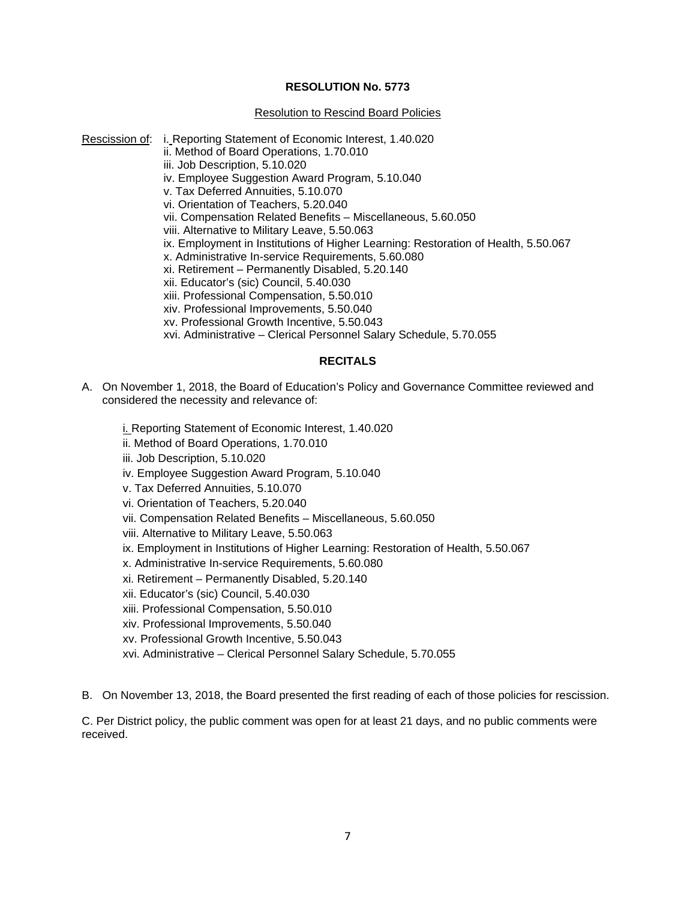#### Resolution to Rescind Board Policies

- Rescission of: i. Reporting Statement of Economic Interest, 1.40.020
	- ii. Method of Board Operations, 1.70.010
	- iii. Job Description, 5.10.020
	- iv. Employee Suggestion Award Program, 5.10.040
	- v. Tax Deferred Annuities, 5.10.070
	- vi. Orientation of Teachers, 5.20.040
	- vii. Compensation Related Benefits Miscellaneous, 5.60.050
	- viii. Alternative to Military Leave, 5.50.063
	- ix. Employment in Institutions of Higher Learning: Restoration of Health, 5.50.067
	- x. Administrative In-service Requirements, 5.60.080
	- xi. Retirement Permanently Disabled, 5.20.140
	- xii. Educator's (sic) Council, 5.40.030
	- xiii. Professional Compensation, 5.50.010
	- xiv. Professional Improvements, 5.50.040
	- xv. Professional Growth Incentive, 5.50.043
	- xvi. Administrative Clerical Personnel Salary Schedule, 5.70.055

## **RECITALS**

- A. On November 1, 2018, the Board of Education's Policy and Governance Committee reviewed and considered the necessity and relevance of:
	- i. Reporting Statement of Economic Interest, 1.40.020
	- ii. Method of Board Operations, 1.70.010
	- iii. Job Description, 5.10.020
	- iv. Employee Suggestion Award Program, 5.10.040
	- v. Tax Deferred Annuities, 5.10.070
	- vi. Orientation of Teachers, 5.20.040
	- vii. Compensation Related Benefits Miscellaneous, 5.60.050
	- viii. Alternative to Military Leave, 5.50.063
	- ix. Employment in Institutions of Higher Learning: Restoration of Health, 5.50.067
	- x. Administrative In-service Requirements, 5.60.080
	- xi. Retirement Permanently Disabled, 5.20.140
	- xii. Educator's (sic) Council, 5.40.030
	- xiii. Professional Compensation, 5.50.010
	- xiv. Professional Improvements, 5.50.040
	- xv. Professional Growth Incentive, 5.50.043
	- xvi. Administrative Clerical Personnel Salary Schedule, 5.70.055

B. On November 13, 2018, the Board presented the first reading of each of those policies for rescission.

C. Per District policy, the public comment was open for at least 21 days, and no public comments were received.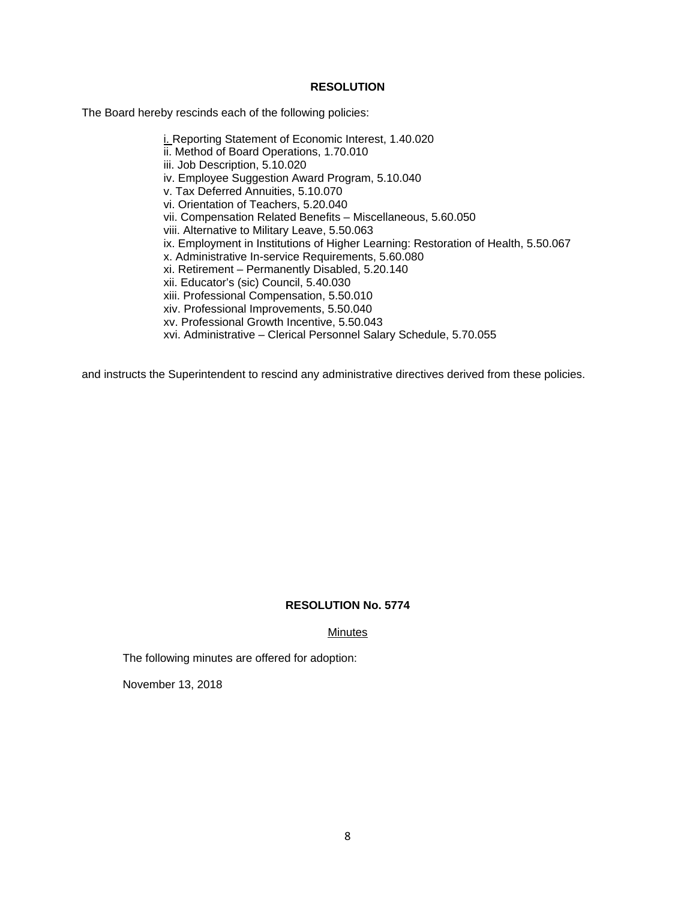#### **RESOLUTION**

The Board hereby rescinds each of the following policies:

i. Reporting Statement of Economic Interest, 1.40.020 ii. Method of Board Operations, 1.70.010 iii. Job Description, 5.10.020 iv. Employee Suggestion Award Program, 5.10.040 v. Tax Deferred Annuities, 5.10.070 vi. Orientation of Teachers, 5.20.040 vii. Compensation Related Benefits – Miscellaneous, 5.60.050 viii. Alternative to Military Leave, 5.50.063 ix. Employment in Institutions of Higher Learning: Restoration of Health, 5.50.067 x. Administrative In-service Requirements, 5.60.080 xi. Retirement – Permanently Disabled, 5.20.140 xii. Educator's (sic) Council, 5.40.030 xiii. Professional Compensation, 5.50.010 xiv. Professional Improvements, 5.50.040 xv. Professional Growth Incentive, 5.50.043 xvi. Administrative – Clerical Personnel Salary Schedule, 5.70.055

and instructs the Superintendent to rescind any administrative directives derived from these policies.

#### **RESOLUTION No. 5774**

Minutes

The following minutes are offered for adoption:

November 13, 2018